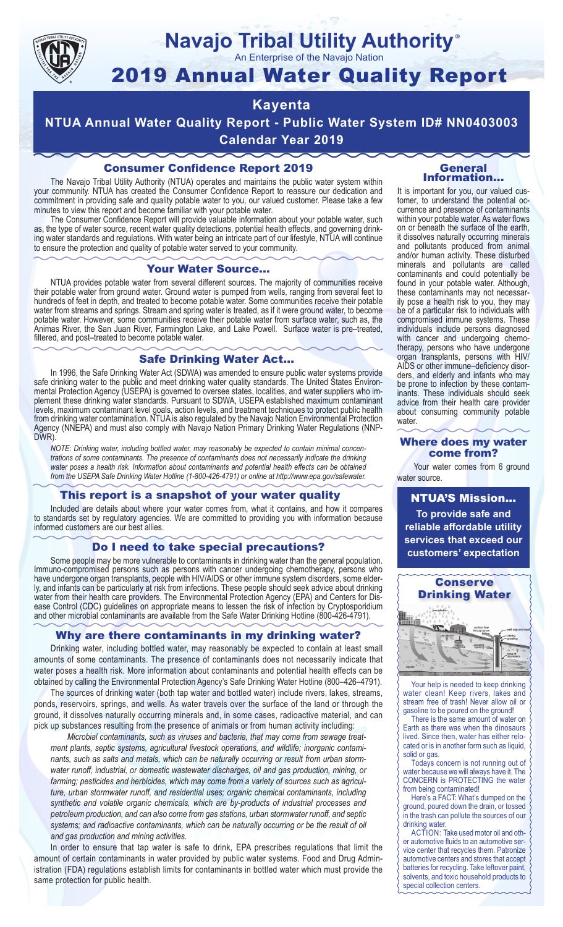

### **Navajo Tribal Utility Authority** ®

An Enterprise of the Navajo Nation

# 2019 Annual Water Quality Report

# **Kayenta**

**NTUA Annual Water Quality Report - Public Water System ID# NN0403003 Calendar Year 2019**

## Consumer Confidence Report 2019

The Navajo Tribal Utility Authority (NTUA) operates and maintains the public water system within your community. NTUA has created the Consumer Confidence Report to reassure our dedication and commitment in providing safe and quality potable water to you, our valued customer. Please take a few minutes to view this report and become familiar with your potable water.

The Consumer Confidence Report will provide valuable information about your potable water, such as, the type of water source, recent water quality detections, potential health effects, and governing drinking water standards and regulations. With water being an intricate part of our lifestyle, NTUA will continue to ensure the protection and quality of potable water served to your community.

#### Your Water Source…

NTUA provides potable water from several different sources. The majority of communities receive their potable water from ground water. Ground water is pumped from wells, ranging from several feet to hundreds of feet in depth, and treated to become potable water. Some communities receive their potable water from streams and springs. Stream and spring water is treated, as if it were ground water, to become potable water. However, some communities receive their potable water from surface water, such as, the Animas River, the San Juan River, Farmington Lake, and Lake Powell. Surface water is pre–treated, filtered, and post–treated to become potable water.

#### Safe Drinking Water Act…

In 1996, the Safe Drinking Water Act (SDWA) was amended to ensure public water systems provide safe drinking water to the public and meet drinking water quality standards. The United States Environmental Protection Agency (USEPA) is governed to oversee states, localities, and water suppliers who implement these drinking water standards. Pursuant to SDWA, USEPA established maximum contaminant levels, maximum contaminant level goals, action levels, and treatment techniques to protect public health from drinking water contamination. NTUA is also regulated by the Navajo Nation Environmental Protection Agency (NNEPA) and must also comply with Navajo Nation Primary Drinking Water Regulations (NNP-DWR)

*NOTE: Drinking water, including bottled water, may reasonably be expected to contain minimal concentrations of some contaminants. The presence of contaminants does not necessarily indicate the drinking water poses a health risk. Information about contaminants and potential health effects can be obtained from the USEPA Safe Drinking Water Hotline (1-800-426-4791) or online at http://www.epa.gov/safewater.*

#### This report is a snapshot of your water quality

Included are details about where your water comes from, what it contains, and how it compares to standards set by regulatory agencies. We are committed to providing you with information because informed customers are our best allies.

#### Do I need to take special precautions?

Some people may be more vulnerable to contaminants in drinking water than the general population. Immuno-compromised persons such as persons with cancer undergoing chemotherapy, persons who have undergone organ transplants, people with HIV/AIDS or other immune system disorders, some elderly, and infants can be particularly at risk from infections. These people should seek advice about drinking water from their health care providers. The Environmental Protection Agency (EPA) and Centers for Disease Control (CDC) guidelines on appropriate means to lessen the risk of infection by Cryptosporidium and other microbial contaminants are available from the Safe Water Drinking Hotline (800-426-4791).

#### Why are there contaminants in my drinking water?

Drinking water, including bottled water, may reasonably be expected to contain at least small amounts of some contaminants. The presence of contaminants does not necessarily indicate that water poses a health risk. More information about contaminants and potential health effects can be obtained by calling the Environmental Protection Agency's Safe Drinking Water Hotline (800–426–4791).

The sources of drinking water (both tap water and bottled water) include rivers, lakes, streams, ponds, reservoirs, springs, and wells. As water travels over the surface of the land or through the ground, it dissolves naturally occurring minerals and, in some cases, radioactive material, and can pick up substances resulting from the presence of animals or from human activity including:

*Microbial contaminants, such as viruses and bacteria, that may come from sewage treatment plants, septic systems, agricultural livestock operations, and wildlife; inorganic contaminants, such as salts and metals, which can be naturally occurring or result from urban stormwater runoff, industrial, or domestic wastewater discharges, oil and gas production, mining, or farming; pesticides and herbicides, which may come from a variety of sources such as agriculture, urban stormwater runoff, and residential uses; organic chemical contaminants, including synthetic and volatile organic chemicals, which are by-products of industrial processes and petroleum production, and can also come from gas stations, urban stormwater runoff, and septic systems; and radioactive contaminants, which can be naturally occurring or be the result of oil and gas production and mining activities.*

In order to ensure that tap water is safe to drink, EPA prescribes regulations that limit the amount of certain contaminants in water provided by public water systems. Food and Drug Administration (FDA) regulations establish limits for contaminants in bottled water which must provide the same protection for public health.

#### General Information…

It is important for you, our valued customer, to understand the potential occurrence and presence of contaminants within your potable water. As water flows on or beneath the surface of the earth, it dissolves naturally occurring minerals and pollutants produced from animal and/or human activity. These disturbed minerals and pollutants are called contaminants and could potentially be found in your potable water. Although, these contaminants may not necessarily pose a health risk to you, they may be of a particular risk to individuals with compromised immune systems. These individuals include persons diagnosed with cancer and undergoing chemo-<br>therapy, persons who have undergone organ transplants, persons with HIV/ AIDS or other immune–deficiency disor- ders, and elderly and infants who may be prone to infection by these contam- inants. These individuals should seek advice from their health care provider about consuming community potable water.

#### Where does my water come from?

Your water comes from 6 ground water source.

NTUA'S Mission... **To provide safe and reliable affordable utility services that exceed our customers' expectation**



Your help is needed to keep drinking water clean! Keep rivers, lakes and stream free of trash! Never allow oil or gasoline to be poured on the ground!

There is the same amount of water on Earth as there was when the dinosaurs lived. Since then, water has either relocated or is in another form such as liquid, solid or gas.

Todays concern is not running out of water because we will always have it. The CONCERN is PROTECTING the water from being contaminated!

Here's a FACT: What's dumped on the ground, poured down the drain, or tossed in the trash can pollute the sources of our drinking water.

ACTION: Take used motor oil and other automotive fluids to an automotive service center that recycles them. Patronize automotive centers and stores that accept batteries for recycling. Take leftover paint, solvents, and toxic household products to special collection centers.